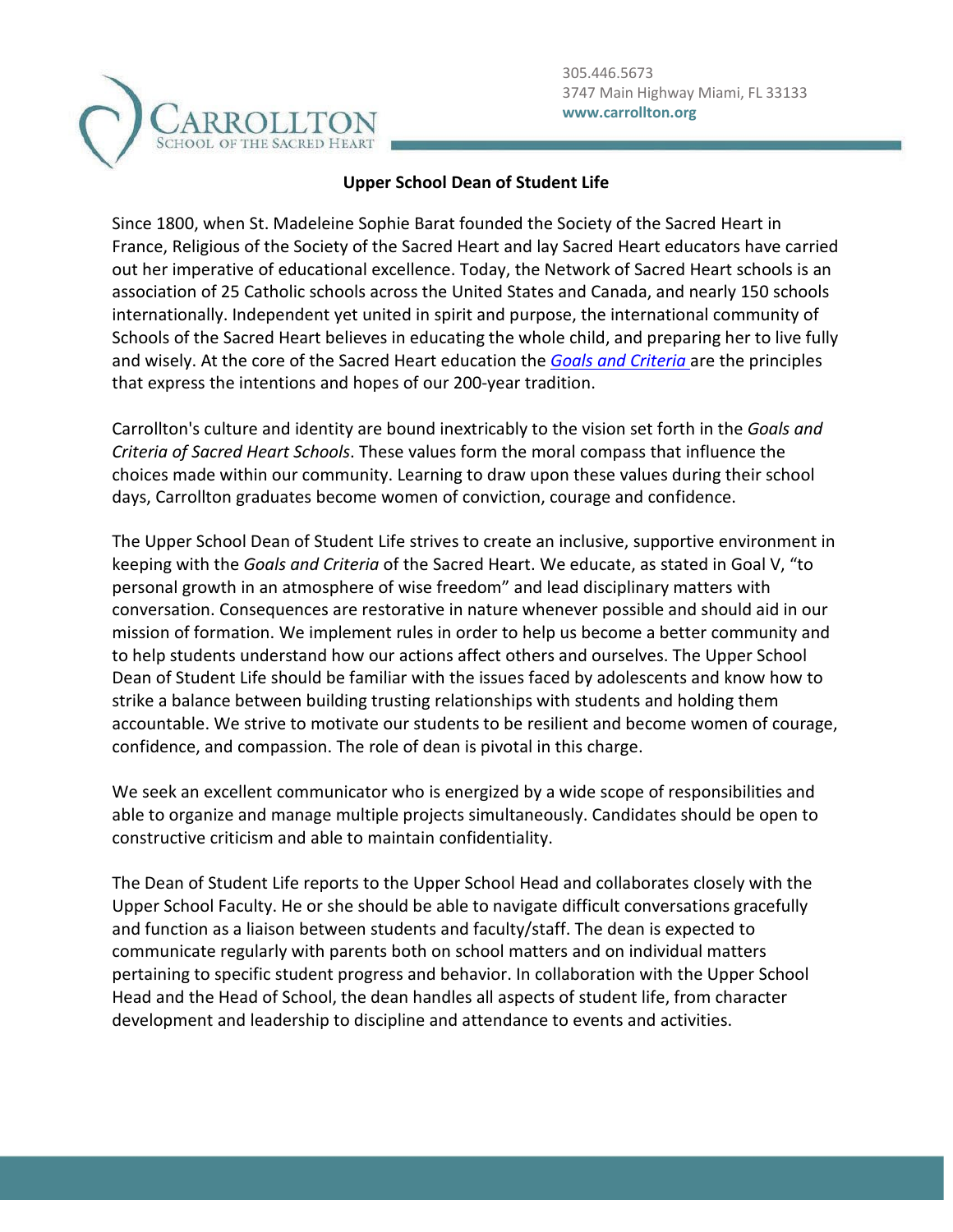

## **Upper School Dean of Student Life**

Since 1800, when St. Madeleine Sophie Barat founded the Society of the Sacred Heart in France, Religious of the Society of the Sacred Heart and lay Sacred Heart educators have carried out her imperative of educational excellence. Today, the Network of Sacred Heart schools is an association of 25 Catholic schools across the United States and Canada, and nearly 150 schools internationally. Independent yet united in spirit and purpose, the international community of Schools of the Sacred Heart believes in educating the whole child, and preparing her to live fully and wisely. At the core of the Sacred Heart education the *[Goals and Criteria](https://www.sacredheartusc.education/mission/goals-and-criteria/goals-and-criteria)* are the principles that express the intentions and hopes of our 200-year tradition.

Carrollton's culture and identity are bound inextricably to the vision set forth in the *Goals and Criteria of Sacred Heart Schools*. These values form the moral compass that influence the choices made within our community. Learning to draw upon these values during their school days, Carrollton graduates become women of conviction, courage and confidence.

The Upper School Dean of Student Life strives to create an inclusive, supportive environment in keeping with the *Goals and Criteria* of the Sacred Heart. We educate, as stated in Goal V, "to personal growth in an atmosphere of wise freedom" and lead disciplinary matters with conversation. Consequences are restorative in nature whenever possible and should aid in our mission of formation. We implement rules in order to help us become a better community and to help students understand how our actions affect others and ourselves. The Upper School Dean of Student Life should be familiar with the issues faced by adolescents and know how to strike a balance between building trusting relationships with students and holding them accountable. We strive to motivate our students to be resilient and become women of courage, confidence, and compassion. The role of dean is pivotal in this charge.

We seek an excellent communicator who is energized by a wide scope of responsibilities and able to organize and manage multiple projects simultaneously. Candidates should be open to constructive criticism and able to maintain confidentiality.

The Dean of Student Life reports to the Upper School Head and collaborates closely with the Upper School Faculty. He or she should be able to navigate difficult conversations gracefully and function as a liaison between students and faculty/staff. The dean is expected to communicate regularly with parents both on school matters and on individual matters pertaining to specific student progress and behavior. In collaboration with the Upper School Head and the Head of School, the dean handles all aspects of student life, from character development and leadership to discipline and attendance to events and activities.